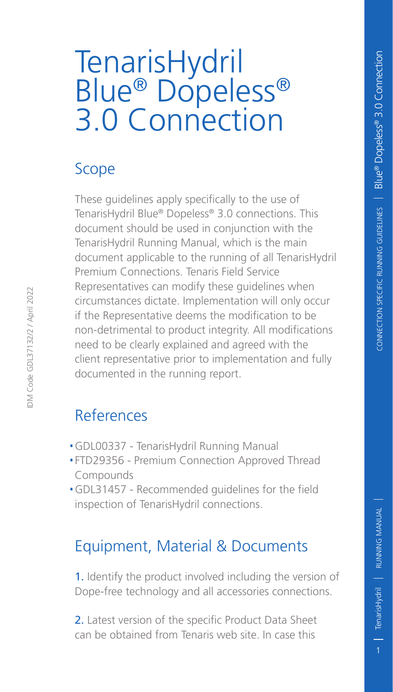## TenarisHydril Blue® Dopeless® 3.0 Connection

## Scope

These guidelines apply specifically to the use of TenarisHydril Blue® Dopeless® 3.0 connections. This document should be used in conjunction with the TenarisHydril Running Manual, which is the main document applicable to the running of all TenarisHydril Premium Connections. Tenaris Field Service Representatives can modify these guidelines when circumstances dictate. Implementation will only occur if the Representative deems the modification to be non-detrimental to product integrity. All modifications need to be clearly explained and agreed with the client representative prior to implementation and fully documented in the running report.

## References

- .GDL00337 TenarisHydril Running Manual
- .FTD29356 Premium Connection Approved Thread Compounds
- .GDL31457 Recommended guidelines for the field inspection of TenarisHydril connections.

## Equipment, Material & Documents

1. Identify the product involved including the version of Dope-free technology and all accessories connections.

2. Latest version of the specific Product Data Sheet can be obtained from Tenaris web site. In case this

IDM Code GDL37132/2 / April 2022

DM Code GDL37132/2 / April 2022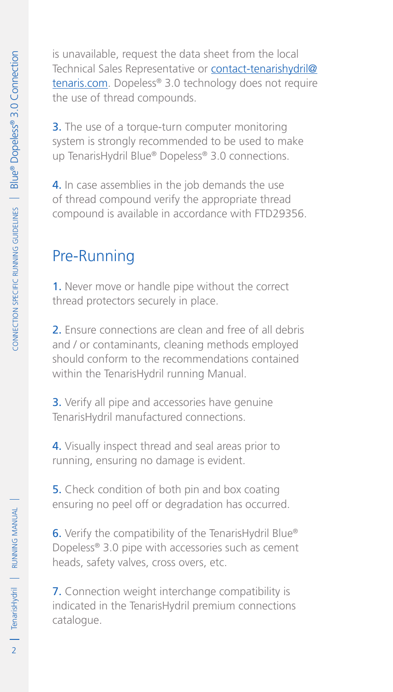is unavailable, request the data sheet from the local Technical Sales Representative or contact-tenarishydril@ tenaris.com. Dopeless® 3.0 technology does not require the use of thread compounds.

**3.** The use of a torque-turn computer monitoring system is strongly recommended to be used to make up TenarisHydril Blue® Dopeless® 3.0 connections.

4. In case assemblies in the job demands the use of thread compound verify the appropriate thread compound is available in accordance with FTD29356.

## Pre-Running

1. Never move or handle pipe without the correct thread protectors securely in place.

2. Ensure connections are clean and free of all debris and / or contaminants, cleaning methods employed should conform to the recommendations contained within the TenarisHydril running Manual.

**3.** Verify all pipe and accessories have genuine TenarisHydril manufactured connections.

4. Visually inspect thread and seal areas prior to running, ensuring no damage is evident.

5. Check condition of both pin and box coating ensuring no peel off or degradation has occurred.

6. Verify the compatibility of the TenarisHydril Blue® Dopeless® 3.0 pipe with accessories such as cement heads, safety valves, cross overs, etc.

7. Connection weight interchange compatibility is indicated in the TenarisHydril premium connections catalogue.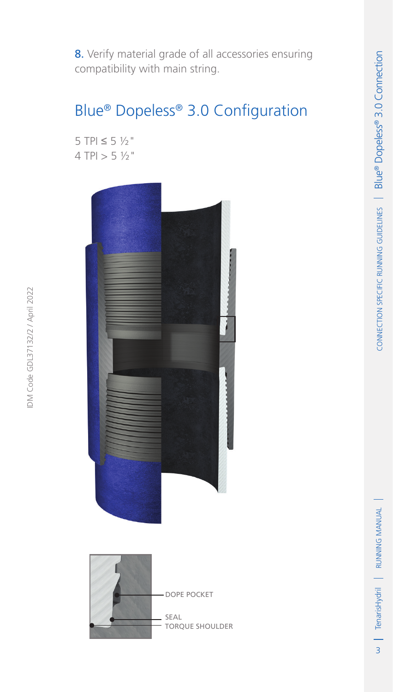8. Verify material grade of all accessories ensuring compatibility with main string.

## Blue® Dopeless® 3.0 Configuration

5 TPI  $\leq$  5  $\frac{1}{2}$ "  $4$  TPI  $> 5$   $\frac{1}{2}$ "

IDM Code GDL37132/2 / April 2022

IDM Code GDL37132/2 / April 2022



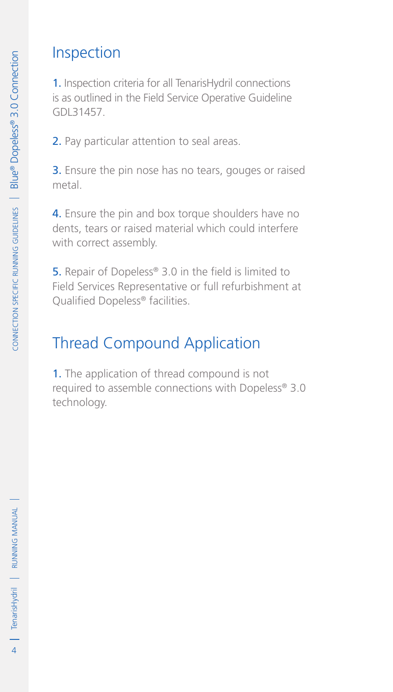#### Inspection

1. Inspection criteria for all TenarisHydril connections is as outlined in the Field Service Operative Guideline GDL31457.

2. Pay particular attention to seal areas.

3. Ensure the pin nose has no tears, gouges or raised metal.

4. Ensure the pin and box torque shoulders have no dents, tears or raised material which could interfere with correct assembly.

5. Repair of Dopeless® 3.0 in the field is limited to Field Services Representative or full refurbishment at Qualified Dopeless® facilities.

## Thread Compound Application

1. The application of thread compound is not required to assemble connections with Dopeless® 3.0 technology.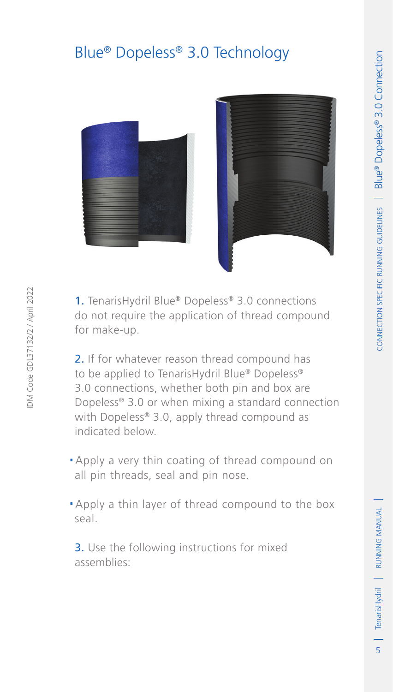## Blue® Dopeless® 3.0 Technology





1. TenarisHydril Blue® Dopeless® 3.0 connections do not require the application of thread compound for make-up.

2. If for whatever reason thread compound has to be applied to TenarisHydril Blue® Dopeless® 3.0 connections, whether both pin and box are Dopeless® 3.0 or when mixing a standard connection with Dopeless® 3.0, apply thread compound as indicated below.

- .Apply a very thin coating of thread compound on all pin threads, seal and pin nose.
- .Apply a thin layer of thread compound to the box seal.

3. Use the following instructions for mixed assemblies: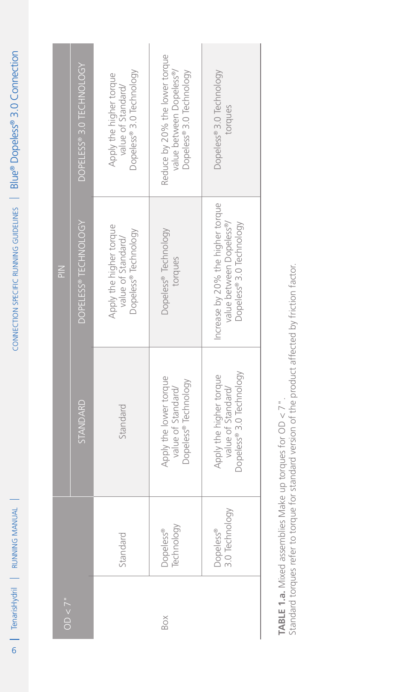| <b>Altreated</b><br><b>RUNNING</b> |
|------------------------------------|
| D                                  |
|                                    |

| Dopeless® 3.0 Technology<br>torques<br>Increase by 20% the higher torque<br>value between Dopeless®/<br>Dopeless® 3.0 Technology<br>Dopeless® 3.0 Technology<br>Apply the higher torque<br>value of Standard/<br>3.0 Technology<br>Dopeless® |
|----------------------------------------------------------------------------------------------------------------------------------------------------------------------------------------------------------------------------------------------|
|----------------------------------------------------------------------------------------------------------------------------------------------------------------------------------------------------------------------------------------------|

Standard torques refer to torque for standard version of the product affected by friction factor. Standard torques refer to torque for standard version of the product affected by friction factor.**TABLE 1.a.** Mixed assemblies Make up torques for  $OD < 7"$ . **Table 1.a.** Mixed assemblies Make up torques for OD < 7".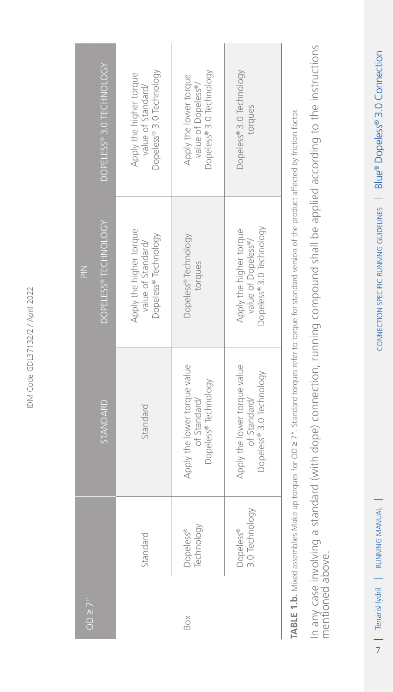|               | DOPELESS® 3.0 TECHNOLOGY | Dopeless® 3.0 Technology<br>Apply the higher torque<br>value of Standard/ | Dopeless®3.0 Technology<br>Apply the lower torque<br>value of Dopeless®/ | Dopeless®3.0 Technology<br>torques                                         |  |
|---------------|--------------------------|---------------------------------------------------------------------------|--------------------------------------------------------------------------|----------------------------------------------------------------------------|--|
| $\frac{2}{5}$ | DOPELESS® TECHNOLOGY     | Apply the higher torque<br>Dopeless® Technology<br>value of Standard/     | Dopeless <sup>®</sup> Technology<br>torques                              | Dopeless® 3.0 Technology<br>Apply the higher torque<br>value of Dopeless®/ |  |
|               | STANDARD                 | Standard                                                                  | Apply the lower torque value<br>Dopeless® Technology<br>of Standard/     | Apply the lower torque value<br>Dopeless® 3.0 Technology<br>of Standard/   |  |
|               |                          | Standard                                                                  | Technology<br>Dopeless®                                                  | 3.0 Technology<br>Dopeless®                                                |  |
| OD $\geq$ 7"  |                          |                                                                           | Box                                                                      |                                                                            |  |

**Table 1.b.** Mixed assemblies Make up torques for OD ≥ 7". Standard torques refer to torque for standard version of the product affected by friction factor. TABLE 1.b. Mixed assemblies Make up torques for OD > 7". Standard torques refer to torque for standard version of the product affected by friction factor. In any case involving a standard (with dope) connection, running compound shall be applied according to the instructions<br>mentioned above. In any case involving a standard (with dope) connection, running compound shall be applied according to the instructions mentioned above.

I TenarisHydril | RUNNING MANUAL 1 TenarisHydril | RUNNING MANUAL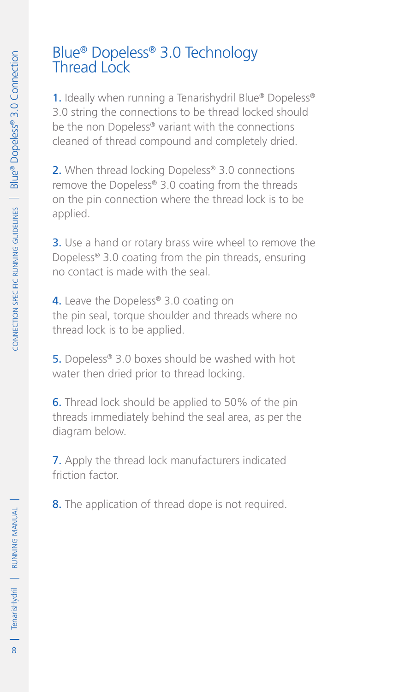## Blue® Dopeless® 3.0 Technology Thread Lock

1. Ideally when running a Tenarishydril Blue® Dopeless® 3.0 string the connections to be thread locked should be the non Dopeless® variant with the connections cleaned of thread compound and completely dried.

2. When thread locking Dopeless® 3.0 connections remove the Dopeless® 3.0 coating from the threads on the pin connection where the thread lock is to be applied.

**3.** Use a hand or rotary brass wire wheel to remove the Dopeless® 3.0 coating from the pin threads, ensuring no contact is made with the seal.

4. Leave the Dopeless® 3.0 coating on the pin seal, torque shoulder and threads where no thread lock is to be applied.

5. Dopeless<sup>®</sup> 3.0 boxes should be washed with hot water then dried prior to thread locking.

6. Thread lock should be applied to 50% of the pin threads immediately behind the seal area, as per the diagram below.

7. Apply the thread lock manufacturers indicated friction factor.

8. The application of thread dope is not required.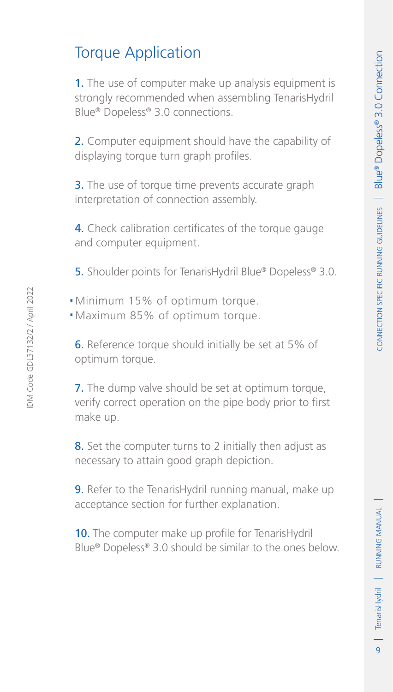1. The use of computer make up analysis equipment is strongly recommended when assembling TenarisHydril Blue® Dopeless® 3.0 connections.

Torque Application

2. Computer equipment should have the capability of displaying torque turn graph profiles.

**3.** The use of torque time prevents accurate graph interpretation of connection assembly.

4. Check calibration certificates of the torque gauge and computer equipment.

5. Shoulder points for TenarisHydril Blue® Dopeless® 3.0.

- .Minimum 15% of optimum torque.
- .Maximum 85% of optimum torque.

6. Reference torque should initially be set at 5% of optimum torque.

**7.** The dump valve should be set at optimum torque, verify correct operation on the pipe body prior to first make up.

8. Set the computer turns to 2 initially then adjust as necessary to attain good graph depiction.

9. Refer to the TenarisHydril running manual, make up acceptance section for further explanation.

10. The computer make up profile for TenarisHydril Blue® Dopeless® 3.0 should be similar to the ones below.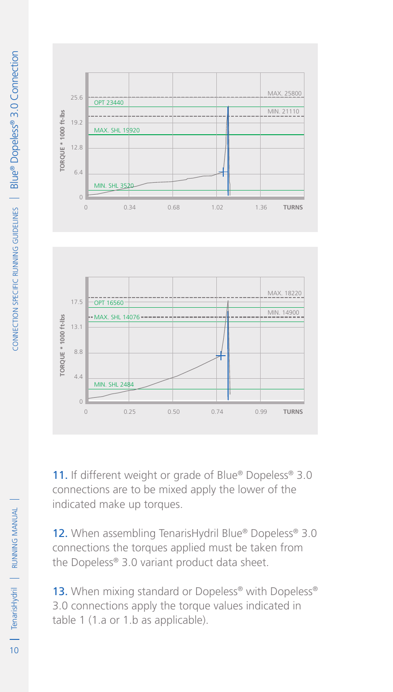

11. If different weight or grade of Blue® Dopeless® 3.0 connections are to be mixed apply the lower of the indicated make up torques.

12. When assembling TenarisHydril Blue® Dopeless® 3.0 connections the torques applied must be taken from the Dopeless® 3.0 variant product data sheet.

13. When mixing standard or Dopeless<sup>®</sup> with Dopeless<sup>®</sup> 3.0 connections apply the torque values indicated in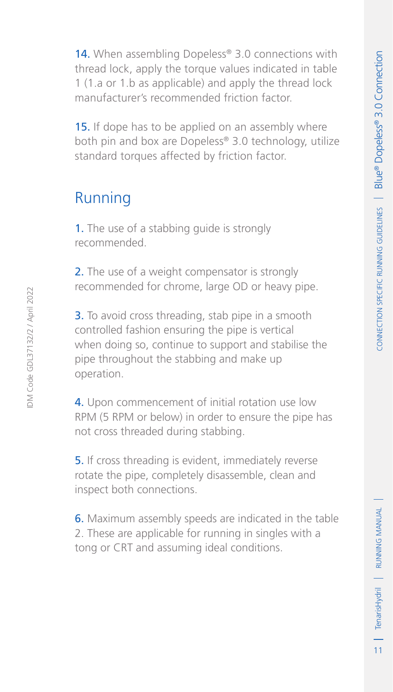14. When assembling Dopeless® 3.0 connections with thread lock, apply the torque values indicated in table 1 (1.a or 1.b as applicable) and apply the thread lock manufacturer's recommended friction factor. 15. If dope has to be applied on an assembly where both pin and box are Dopeless® 3.0 technology, utilize

# standard torques affected by friction factor.

## Running

1. The use of a stabbing quide is strongly recommended.

2. The use of a weight compensator is strongly recommended for chrome, large OD or heavy pipe.

**3.** To avoid cross threading, stab pipe in a smooth controlled fashion ensuring the pipe is vertical when doing so, continue to support and stabilise the pipe throughout the stabbing and make up operation.

4. Upon commencement of initial rotation use low RPM (5 RPM or below) in order to ensure the pipe has not cross threaded during stabbing.

5. If cross threading is evident, immediately reverse rotate the pipe, completely disassemble, clean and inspect both connections.

6. Maximum assembly speeds are indicated in the table 2. These are applicable for running in singles with a tong or CRT and assuming ideal conditions.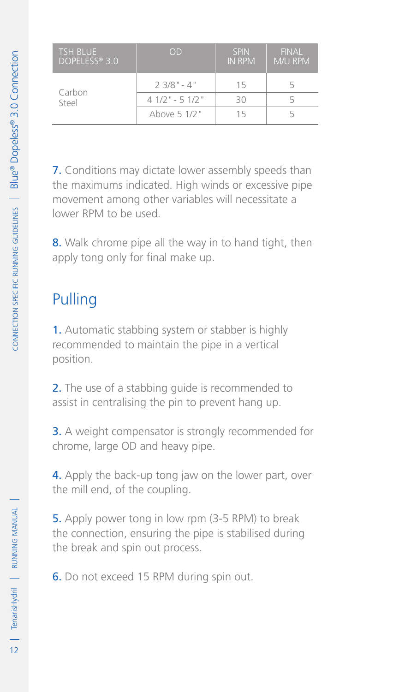| <b>TSH BLUE</b><br>DOPELESS® 3.0 | OD               | <b>SPIN</b><br><b>IN RPM</b> | <b>FINAL</b><br>M/U RPM |
|----------------------------------|------------------|------------------------------|-------------------------|
| Carbon                           | $23/8" - 4"$     | 15                           |                         |
| Steel                            | $41/2$ " - 51/2" | RΩ                           |                         |
|                                  | Above 5 1/2"     | 15                           |                         |

7. Conditions may dictate lower assembly speeds than the maximums indicated. High winds or excessive pipe movement among other variables will necessitate a lower RPM to be used.

8. Walk chrome pipe all the way in to hand tight, then apply tong only for final make up.

## Pulling

1. Automatic stabbing system or stabber is highly recommended to maintain the pipe in a vertical position.

2. The use of a stabbing quide is recommended to assist in centralising the pin to prevent hang up.

3. A weight compensator is strongly recommended for chrome, large OD and heavy pipe.

4. Apply the back-up tong jaw on the lower part, over the mill end, of the coupling.

5. Apply power tong in low rpm (3-5 RPM) to break the connection, ensuring the pipe is stabilised during the break and spin out process.

6. Do not exceed 15 RPM during spin out.